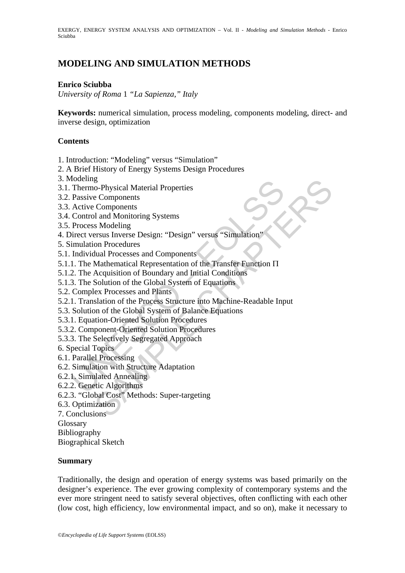EXERGY, ENERGY SYSTEM ANALYSIS AND OPTIMIZATION – Vol. II - *Modeling and Simulation Methods* - Enrico Sciubba

# **MODELING AND SIMULATION METHODS**

#### **Enrico Sciubba**

*University of Roma* 1 *"La Sapienza*,*" Italy* 

**Keywords:** numerical simulation, process modeling, components modeling, direct- and inverse design, optimization

#### **Contents**

- 1. Introduction: "Modeling" versus "Simulation"
- 2. A Brief History of Energy Systems Design Procedures
- 3. Modeling
- 3.1. Thermo-Physical Material Properties
- 3.2. Passive Components
- 3.3. Active Components
- 3.4. Control and Monitoring Systems
- 3.5. Process Modeling
- 4. Direct versus Inverse Design: "Design" versus "Simulation"
- 5. Simulation Procedures
- 5.1. Individual Processes and Components
- Detening<br>
Thermo-Physical Material Properties<br>
Thermo-Physical Material Properties<br>
Active Components<br>
Active Components<br>
Active Components<br>
Active Components<br>
Process Modeling<br>
imulation Procedures<br>
Individual Processes a 5.1.1. The Mathematical Representation of the Transfer Function Π
- 5.1.2. The Acquisition of Boundary and Initial Conditions
- 5.1.3. The Solution of the Global System of Equations
- 5.2. Complex Processes and Plants
- g<br>
So-Physical Material Properties<br>
components<br>
components<br>
So Modeling<br>
so Modeling<br>
so Modeling<br>
so Modeling<br>
so Modeling<br>
so Modeling<br>
so Modeling<br>
Mathematical Representation of the Transfer Function II<br>
Acquisition of 5.2.1. Translation of the Process Structure into Machine-Readable Input
- 5.3. Solution of the Global System of Balance Equations
- 5.3.1. Equation-Oriented Solution Procedures
- 5.3.2. Component-Oriented Solution Procedures
- 5.3.3. The Selectively Segregated Approach
- 6. Special Topics
- 6.1. Parallel Processing
- 6.2. Simulation with Structure Adaptation
- 6.2.1. Simulated Annealing
- 6.2.2. Genetic Algorithms
- 6.2.3. "Global Cost" Methods: Super-targeting
- 6.3. Optimization
- 7. Conclusions

**Glossary** 

Bibliography

Biographical Sketch

#### **Summary**

Traditionally, the design and operation of energy systems was based primarily on the designer's experience. The ever growing complexity of contemporary systems and the ever more stringent need to satisfy several objectives, often conflicting with each other (low cost, high efficiency, low environmental impact, and so on), make it necessary to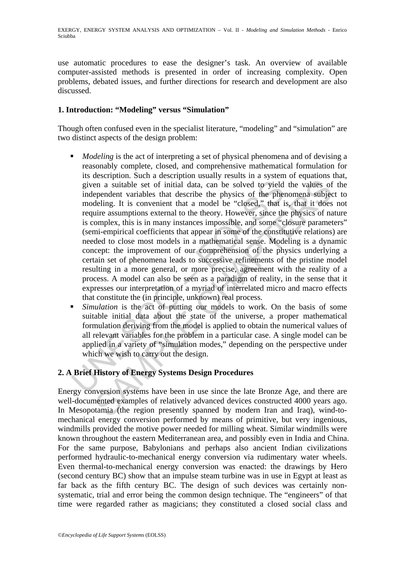use automatic procedures to ease the designer's task. An overview of available computer-assisted methods is presented in order of increasing complexity. Open problems, debated issues, and further directions for research and development are also discussed.

## **1. Introduction: "Modeling" versus "Simulation"**

Though often confused even in the specialist literature, "modeling" and "simulation" are two distinct aspects of the design problem:

- given a suitable set of initial data, can be solved to yield<br>independent variables that describe the physics of the phe<br>modeling. It is convenient that a model be "closed," that i<br>require assumptions external to the theory in a suitable set of initial data, can be solved to yield the values of<br>ependent variables that describe the physics of the phenomena subject<br>eleling. It is convenient that a model be "closed," that is, that it does<br>uire a *Modeling* is the act of interpreting a set of physical phenomena and of devising a reasonably complete, closed, and comprehensive mathematical formulation for its description. Such a description usually results in a system of equations that, given a suitable set of initial data, can be solved to yield the values of the independent variables that describe the physics of the phenomena subject to modeling. It is convenient that a model be "closed," that is, that it does not require assumptions external to the theory. However, since the physics of nature is complex, this is in many instances impossible, and some "closure parameters" (semi-empirical coefficients that appear in some of the constitutive relations) are needed to close most models in a mathematical sense. Modeling is a dynamic concept: the improvement of our comprehension of the physics underlying a certain set of phenomena leads to successive refinements of the pristine model resulting in a more general, or more precise, agreement with the reality of a process. A model can also be seen as a paradigm of reality, in the sense that it expresses our interpretation of a myriad of interrelated micro and macro effects that constitute the (in principle, unknown) real process.
- *Simulation* is the act of putting our models to work. On the basis of some suitable initial data about the state of the universe, a proper mathematical formulation deriving from the model is applied to obtain the numerical values of all relevant variables for the problem in a particular case. A single model can be applied in a variety of "simulation modes," depending on the perspective under which we wish to carry out the design.

## **2. A Brief History of Energy Systems Design Procedures**

Energy conversion systems have been in use since the late Bronze Age, and there are well-documented examples of relatively advanced devices constructed 4000 years ago. In Mesopotamia (the region presently spanned by modern Iran and Iraq), wind-tomechanical energy conversion performed by means of primitive, but very ingenious, windmills provided the motive power needed for milling wheat. Similar windmills were known throughout the eastern Mediterranean area, and possibly even in India and China. For the same purpose, Babylonians and perhaps also ancient Indian civilizations performed hydraulic-to-mechanical energy conversion via rudimentary water wheels. Even thermal-to-mechanical energy conversion was enacted: the drawings by Hero (second century BC) show that an impulse steam turbine was in use in Egypt at least as far back as the fifth century BC. The design of such devices was certainly nonsystematic, trial and error being the common design technique. The "engineers" of that time were regarded rather as magicians; they constituted a closed social class and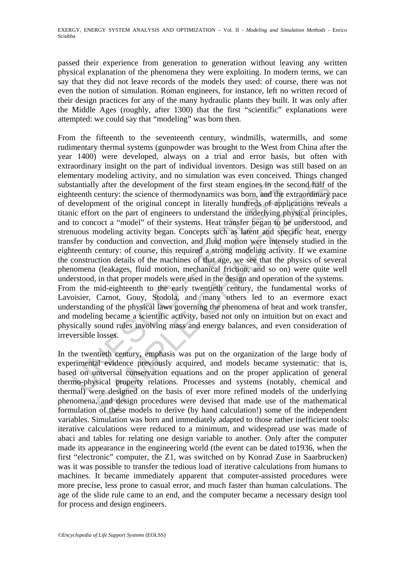passed their experience from generation to generation without leaving any written physical explanation of the phenomena they were exploiting. In modern terms, we can say that they did not leave records of the models they used: of course, there was not even the notion of simulation. Roman engineers, for instance, left no written record of their design practices for any of the many hydraulic plants they built. It was only after the Middle Ages (roughly, after 1300) that the first "scientific" explanations were attempted: we could say that "modeling" was born then.

stantially after the development of the first steam engines in the teenth century: the science of thermodynamics was born, and the levelopment of the original concept in literally hundreds of applice effort on the part of ly after the development of the first steam engines in the second half of century: the science of thermodynamics was born, and the extraordinary ment of the original concept in literally hundreds of applications reveal to From the fifteenth to the seventeenth century, windmills, watermills, and some rudimentary thermal systems (gunpowder was brought to the West from China after the year 1400) were developed, always on a trial and error basis, but often with extraordinary insight on the part of individual inventors. Design was still based on an elementary modeling activity, and no simulation was even conceived. Things changed substantially after the development of the first steam engines in the second half of the eighteenth century: the science of thermodynamics was born, and the extraordinary pace of development of the original concept in literally hundreds of applications reveals a titanic effort on the part of engineers to understand the underlying physical principles, and to concoct a "model" of their systems. Heat transfer began to be understood, and strenuous modeling activity began. Concepts such as latent and specific heat, energy transfer by conduction and convection, and fluid motion were intensely studied in the eighteenth century: of course, this required a strong modeling activity. If we examine the construction details of the machines of that age, we see that the physics of several phenomena (leakages, fluid motion, mechanical friction, and so on) were quite well understood, in that proper models were used in the design and operation of the systems. From the mid-eighteenth to the early twentieth century, the fundamental works of Lavoisier, Carnot, Gouy, Stodola, and many others led to an evermore exact understanding of the physical laws governing the phenomena of heat and work transfer, and modeling became a scientific activity, based not only on intuition but on exact and physically sound rules involving mass and energy balances, and even consideration of irreversible losses.

In the twentieth century, emphasis was put on the organization of the large body of experimental evidence previously acquired, and models became systematic: that is, based on universal conservation equations and on the proper application of general thermo-physical property relations. Processes and systems (notably, chemical and thermal) were designed on the basis of ever more refined models of the underlying phenomena, and design procedures were devised that made use of the mathematical formulation of these models to derive (by hand calculation!) some of the independent variables. Simulation was born and immediately adapted to those rather inefficient tools: iterative calculations were reduced to a minimum, and widespread use was made of abaci and tables for relating one design variable to another. Only after the computer made its appearance in the engineering world (the event can be dated to1936, when the first "electronic" computer, the Z1, was switched on by Konrad Zuse in Saarbrucken) was it was possible to transfer the tedious load of iterative calculations from humans to machines. It became immediately apparent that computer-assisted procedures were more precise, less prone to casual error, and much faster than human calculations. The age of the slide rule came to an end, and the computer became a necessary design tool for process and design engineers.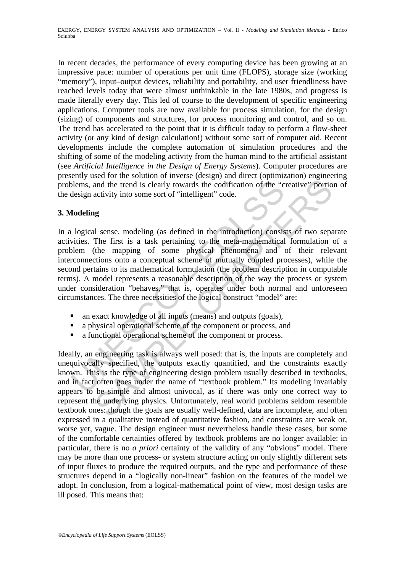In recent decades, the performance of every computing device has been growing at an impressive pace: number of operations per unit time (FLOPS), storage size (working "memory"), input–output devices, reliability and portability, and user friendliness have reached levels today that were almost unthinkable in the late 1980s, and progress is made literally every day. This led of course to the development of specific engineering applications. Computer tools are now available for process simulation, for the design (sizing) of components and structures, for process monitoring and control, and so on. The trend has accelerated to the point that it is difficult today to perform a flow-sheet activity (or any kind of design calculation!) without some sort of computer aid. Recent developments include the complete automation of simulation procedures and the shifting of some of the modeling activity from the human mind to the artificial assistant (see *Artificial Intelligence in the Design of Energy Systems*). Computer procedures are presently used for the solution of inverse (design) and direct (optimization) engineering problems, and the trend is clearly towards the codification of the "creative" portion of the design activity into some sort of "intelligent" code.

## **3. Modeling**

being and the trend is clearly towards the codification of the "c<br>design activity into some sort of "intelligent" code.<br> **Iodeling**<br>
1 logical sense, modeling (as defined in the introduction) consis<br>
wities. The first is a and the trend is clearly towards the codification of the "creative" portional and the trend is clearly towards the codification of the "creative" portionactivity into some sort of "intelligent" code.<br> **19** sense, modeling In a logical sense, modeling (as defined in the introduction) consists of two separate activities. The first is a task pertaining to the meta-mathematical formulation of a problem (the mapping of some physical phenomena and of their relevant interconnections onto a conceptual scheme of mutually coupled processes), while the second pertains to its mathematical formulation (the problem description in computable terms). A model represents a reasonable description of the way the process or system under consideration "behaves," that is, operates under both normal and unforeseen circumstances. The three necessities of the logical construct "model" are:

- an exact knowledge of all inputs (means) and outputs (goals),
- a physical operational scheme of the component or process, and
- a functional operational scheme of the component or process.

Ideally, an engineering task is always well posed: that is, the inputs are completely and unequivocally specified, the outputs exactly quantified, and the constraints exactly known. This is the type of engineering design problem usually described in textbooks, and in fact often goes under the name of "textbook problem." Its modeling invariably appears to be simple and almost univocal, as if there was only one correct way to represent the underlying physics. Unfortunately, real world problems seldom resemble textbook ones: though the goals are usually well-defined, data are incomplete, and often expressed in a qualitative instead of quantitative fashion, and constraints are weak or, worse yet, vague. The design engineer must nevertheless handle these cases, but some of the comfortable certainties offered by textbook problems are no longer available: in particular, there is no *a priori* certainty of the validity of any "obvious" model. There may be more than one process- or system structure acting on only slightly different sets of input fluxes to produce the required outputs, and the type and performance of these structures depend in a "logically non-linear" fashion on the features of the model we adopt. In conclusion, from a logical-mathematical point of view, most design tasks are ill posed. This means that: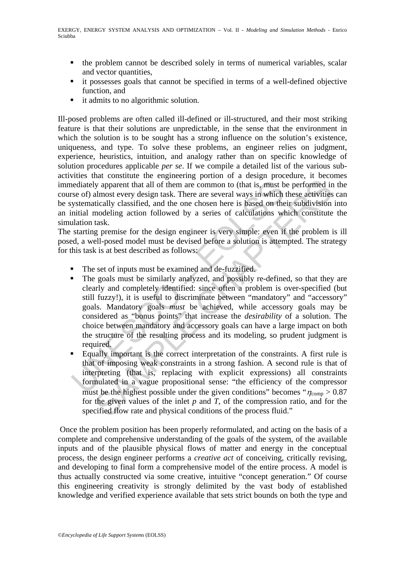- the problem cannot be described solely in terms of numerical variables, scalar and vector quantities,
- it possesses goals that cannot be specified in terms of a well-defined objective function, and
- it admits to no algorithmic solution.

Ill-posed problems are often called ill-defined or ill-structured, and their most striking feature is that their solutions are unpredictable, in the sense that the environment in which the solution is to be sought has a strong influence on the solution's existence, uniqueness, and type. To solve these problems, an engineer relies on judgment, experience, heuristics, intuition, and analogy rather than on specific knowledge of solution procedures applicable *per se*. If we compile a detailed list of the various subactivities that constitute the engineering portion of a design procedure, it becomes immediately apparent that all of them are common to (that is, must be performed in the course of) almost every design task. There are several ways in which these activities can be systematically classified, and the one chosen here is based on their subdivision into an initial modeling action followed by a series of calculations which constitute the simulation task.

The starting premise for the design engineer is very simple: even if the problem is ill posed, a well-posed model must be devised before a solution is attempted. The strategy for this task is at best described as follows:

- The set of inputs must be examined and de-fuzzified.
- endiately apparent that all of them are common to (that is, must be of) almost every design task. There are several ways in which ystematically classified, and the one chosen here is based on the mitial modeling action fol by apparent that all of them are common to (that is, must be performed in<br>almost every design task. There are esveral ways in which these activities<br>diturally classified, and the one chosen here is based on their subdivis The goals must be similarly analyzed, and possibly re-defined, so that they are clearly and completely identified: since often a problem is over-specified (but still fuzzy!), it is useful to discriminate between "mandatory" and "accessory" goals. Mandatory goals *must* be achieved, while accessory goals may be considered as "bonus points" that increase the *desirability* of a solution. The choice between mandatory and accessory goals can have a large impact on both the structure of the resulting process and its modeling, so prudent judgment is required.
- Equally important is the correct interpretation of the constraints. A first rule is that of imposing weak constraints in a strong fashion. A second rule is that of interpreting (that is, replacing with explicit expressions) all constraints formulated in a vague propositional sense: "the efficiency of the compressor must be the highest possible under the given conditions" becomes " $\eta_{\rm comp} > 0.87$ for the given values of the inlet  $p$  and  $T$ , of the compression ratio, and for the specified flow rate and physical conditions of the process fluid."

 Once the problem position has been properly reformulated, and acting on the basis of a complete and comprehensive understanding of the goals of the system, of the available inputs and of the plausible physical flows of matter and energy in the conceptual process, the design engineer performs a *creative act* of conceiving, critically revising, and developing to final form a comprehensive model of the entire process. A model is thus actually constructed via some creative, intuitive "concept generation." Of course this engineering creativity is strongly delimited by the vast body of established knowledge and verified experience available that sets strict bounds on both the type and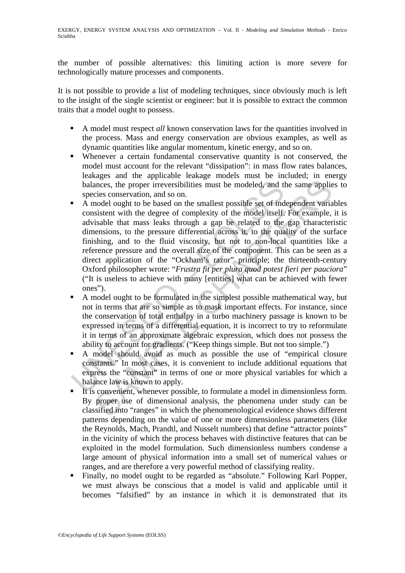the number of possible alternatives: this limiting action is more severe for technologically mature processes and components.

It is not possible to provide a list of modeling techniques, since obviously much is left to the insight of the single scientist or engineer: but it is possible to extract the common traits that a model ought to possess.

- A model must respect *all* known conservation laws for the quantities involved in the process. Mass and energy conservation are obvious examples, as well as dynamic quantities like angular momentum, kinetic energy, and so on.
- Whenever a certain fundamental conservative quantity is not conserved, the model must account for the relevant "dissipation": in mass flow rates balances, leakages and the applicable leakage models must be included; in energy balances, the proper irreversibilities must be modeled, and the same applies to species conservation, and so on.
- balances, the proper irreversibilities must be modeled, and the species conservation, and so on.<br>
A model ought to be based on the smallest possible set of ind consistent with the degree of complexity of the model itself. maces, the proper irreversibilities must be modeled, and the same applicies conservation, and so on.<br>
ances conservation, and so on.<br>
ances conservation, and so on.<br>
ances conservation, and so on.<br>
ances conservation, and A model ought to be based on the smallest possible set of independent variables consistent with the degree of complexity of the model itself. For example, it is advisable that mass leaks through a gap be related to the gap characteristic dimensions, to the pressure differential across it, to the quality of the surface finishing, and to the fluid viscosity, but not to non-local quantities like a reference pressure and the overall size of the component. This can be seen as a direct application of the "Ockham's razor" principle; the thirteenth-century Oxford philosopher wrote: "*Frustra fit per plura quod potest fieri per pauciora*" ("It is useless to achieve with many [entities] what can be achieved with fewer ones").
- A model ought to be formulated in the simplest possible mathematical way, but not in terms that are so simple as to mask important effects. For instance, since the conservation of total enthalpy in a turbo machinery passage is known to be expressed in terms of a differential equation, it is incorrect to try to reformulate it in terms of an approximate algebraic expression, which does not possess the ability to account for gradients. ("Keep things simple. But not too simple.")
- A model should avoid as much as possible the use of "empirical closure constants." In most cases, it is convenient to include additional equations that express the "constant" in terms of one or more physical variables for which a balance law is known to apply.
- It is convenient, whenever possible, to formulate a model in dimensionless form. By proper use of dimensional analysis, the phenomena under study can be classified into "ranges" in which the phenomenological evidence shows different patterns depending on the value of one or more dimensionless parameters (like the Reynolds, Mach, Prandtl, and Nusselt numbers) that define "attractor points" in the vicinity of which the process behaves with distinctive features that can be exploited in the model formulation. Such dimensionless numbers condense a large amount of physical information into a small set of numerical values or ranges, and are therefore a very powerful method of classifying reality.
- Finally, no model ought to be regarded as "absolute." Following Karl Popper, we must always be conscious that a model is valid and applicable until it becomes "falsified" by an instance in which it is demonstrated that its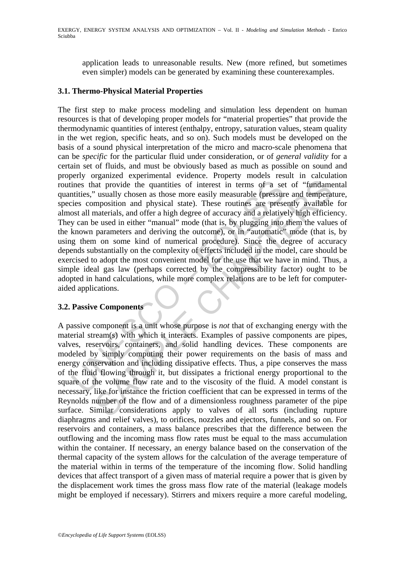application leads to unreasonable results. New (more refined, but sometimes even simpler) models can be generated by examining these counterexamples.

#### **3.1. Thermo-Physical Material Properties**

ines that provide the quantities of interest in terms of a set<br>nities," usually chosen as those more easily measurable (pressure<br>ies composition and physical state). These routines are prese<br>ost all materials, and offer a is a minimize of external entertion and physical state of the minimizery consideration and physical state). These routies are pressure and temperal materials, and offer a high degree of accuracy and a patatively high effic The first step to make process modeling and simulation less dependent on human resources is that of developing proper models for "material properties" that provide the thermodynamic quantities of interest (enthalpy, entropy, saturation values, steam quality in the wet region, specific heats, and so on). Such models must be developed on the basis of a sound physical interpretation of the micro and macro-scale phenomena that can be *specific* for the particular fluid under consideration, or of *general validity* for a certain set of fluids, and must be obviously based as much as possible on sound and properly organized experimental evidence. Property models result in calculation routines that provide the quantities of interest in terms of a set of "fundamental quantities," usually chosen as those more easily measurable (pressure and temperature, species composition and physical state). These routines are presently available for almost all materials, and offer a high degree of accuracy and a relatively high efficiency. They can be used in either "manual" mode (that is, by plugging into them the values of the known parameters and deriving the outcome), or in "automatic" mode (that is, by using them on some kind of numerical procedure). Since the degree of accuracy depends substantially on the complexity of effects included in the model, care should be exercised to adopt the most convenient model for the use that we have in mind. Thus, a simple ideal gas law (perhaps corrected by the compressibility factor) ought to be adopted in hand calculations, while more complex relations are to be left for computeraided applications.

### **3.2. Passive Components**

A passive component is a unit whose purpose is *not* that of exchanging energy with the material stream(s) with which it interacts. Examples of passive components are pipes, valves, reservoirs, containers, and solid handling devices. These components are modeled by simply computing their power requirements on the basis of mass and energy conservation and including dissipative effects. Thus, a pipe conserves the mass of the fluid flowing through it, but dissipates a frictional energy proportional to the square of the volume flow rate and to the viscosity of the fluid. A model constant is necessary, like for instance the friction coefficient that can be expressed in terms of the Reynolds number of the flow and of a dimensionless roughness parameter of the pipe surface. Similar considerations apply to valves of all sorts (including rupture diaphragms and relief valves), to orifices, nozzles and ejectors, funnels, and so on. For reservoirs and containers, a mass balance prescribes that the difference between the outflowing and the incoming mass flow rates must be equal to the mass accumulation within the container. If necessary, an energy balance based on the conservation of the thermal capacity of the system allows for the calculation of the average temperature of the material within in terms of the temperature of the incoming flow. Solid handling devices that affect transport of a given mass of material require a power that is given by the displacement work times the gross mass flow rate of the material (leakage models might be employed if necessary). Stirrers and mixers require a more careful modeling,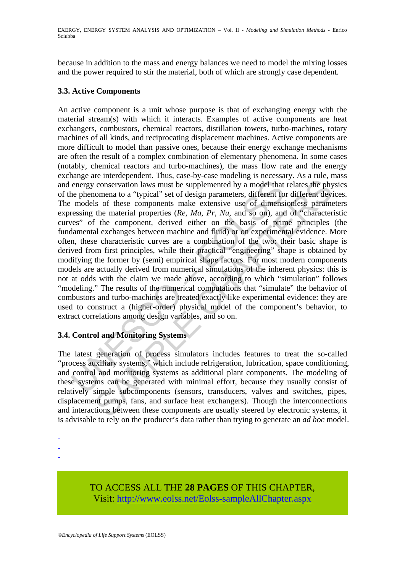because in addition to the mass and energy balances we need to model the mixing losses and the power required to stir the material, both of which are strongly case dependent.

### **3.3. Active Components**

energy conservation laws must be supplemented by a model that<br>e phenomena to a "typical" set of design parameters, different fo<br>models of these components make extensive use of dimensi<br>ressing the material properties ( $Re$ conservation laws must be supplemented by a model that relates the phyomena to a "typical" set of design parameters, different for different deviations and to a "typical" set of design parameters, different for different d An active component is a unit whose purpose is that of exchanging energy with the material stream(s) with which it interacts. Examples of active components are heat exchangers, combustors, chemical reactors, distillation towers, turbo-machines, rotary machines of all kinds, and reciprocating displacement machines. Active components are more difficult to model than passive ones, because their energy exchange mechanisms are often the result of a complex combination of elementary phenomena. In some cases (notably, chemical reactors and turbo-machines), the mass flow rate and the energy exchange are interdependent. Thus, case-by-case modeling is necessary. As a rule, mass and energy conservation laws must be supplemented by a model that relates the physics of the phenomena to a "typical" set of design parameters, different for different devices. The models of these components make extensive use of dimensionless parameters expressing the material properties (*Re*, *Ma*, *Pr*, *Nu*, and so on), and of "characteristic curves" of the component, derived either on the basis of prime principles (the fundamental exchanges between machine and fluid) or on experimental evidence. More often, these characteristic curves are a combination of the two: their basic shape is derived from first principles, while their practical "engineering" shape is obtained by modifying the former by (semi) empirical shape factors. For most modern components models are actually derived from numerical simulations of the inherent physics: this is not at odds with the claim we made above, according to which "simulation" follows "modeling." The results of the numerical computations that "simulate" the behavior of combustors and turbo-machines are treated exactly like experimental evidence: they are used to construct a (higher-order) physical model of the component's behavior, to extract correlations among design variables, and so on.

## **3.4. Control and Monitoring Systems**

The latest generation of process simulators includes features to treat the so-called "process auxiliary systems," which include refrigeration, lubrication, space conditioning, and control and monitoring systems as additional plant components. The modeling of these systems can be generated with minimal effort, because they usually consist of relatively simple subcomponents (sensors, transducers, valves and switches, pipes, displacement pumps, fans, and surface heat exchangers). Though the interconnections and interactions between these components are usually steered by electronic systems, it is advisable to rely on the producer's data rather than trying to generate an *ad hoc* model.

-

TO ACCESS ALL THE **28 PAGES** OF THIS CHAPTER, Visit: [http://www.eolss.net/Eolss-sampleAllChapter.aspx](https://www.eolss.net/ebooklib/sc_cart.aspx?File=E3-19-03-01)

<sup>-</sup> 

<sup>-</sup>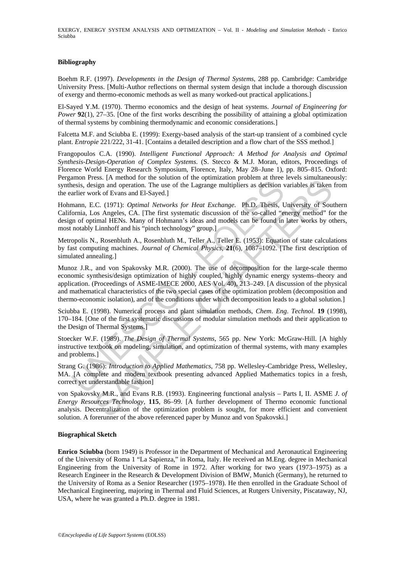EXERGY, ENERGY SYSTEM ANALYSIS AND OPTIMIZATION – Vol. II - *Modeling and Simulation Methods* - Enrico Sciubba

#### **Bibliography**

Boehm R.F. (1997). *Developments in the Design of Thermal Systems*, 288 pp. Cambridge: Cambridge University Press. [Multi-Author reflections on thermal system design that include a thorough discussion of exergy and thermo-economic methods as well as many worked-out practical applications.]

El-Sayed Y.M. (1970). Thermo economics and the design of heat systems. *Journal of Engineering for Power* **92**(1), 27–35. [One of the first works describing the possibility of attaining a global optimization of thermal systems by combining thermodynamic and economic considerations.]

Falcetta M.F. and Sciubba E. (1999): Exergy-based analysis of the start-up transient of a combined cycle plant. *Entropie* 221/222, 31-41. [Contains a detailed description and a flow chart of the SSS method.]

Frangopoulos C.A. (1990). *Intelligent Functional Approach: A Method for Analysis and Optimal Synthesis*-*Design*-*Operation of Complex Systems*. (S. Stecco & M.J. Moran, editors, Proceedings of Florence World Energy Research Symposium, Florence, Italy, May 28–June 1), pp. 805–815. Oxford: Pergamon Press. [A method for the solution of the optimization problem at three levels simultaneously: synthesis, design and operation. The use of the Lagrange multipliers as decision variables is taken from the earlier work of Evans and El-Sayed.]

Hohmann, E.C. (1971): *Optimal Networks for Heat Exchange*. Ph.D. Thesis, University of Southern California, Los Angeles, CA. [The first systematic discussion of the so-called "energy method" for the design of optimal HENs. Many of Hohmann's ideas and models can be found in later works by others, most notably Linnhoff and his "pinch technology" group.]

Metropolis N., Rosenbluth A., Rosenbluth M., Teller A., Teller E. (1953): Equation of state calculations by fast computing machines. *Journal of Chemical Physics*, **21**(6), 1087–1092. [The first description of simulated annealing.]

mont Tress. (1 include for the Sontan of the Gymmatacta proofens.<br>Insis, design and operation. The use of the Lagrange multipliers as decision varier work of Evans and El-Sayed.]<br>
mann, E.C. (1971): *Optimal Networks for H* Ess, ps means of the southof or the optimization problem at time evere is sintentated<br>sign and operation. The use of the Lagrange multipliers as decision variables is taken<br>wish of Evans and El-Sayed.]<br>C. (1971): *Optimal* Munoz J.R., and von Spakovsky M.R. (2000). The use of decomposition for the large-scale thermo economic synthesis/design optimization of highly coupled, highly dynamic energy systems–theory and application. (Proceedings of ASME-IMECE 2000, AES Vol. 40), 213–249. [A discussion of the physical and mathematical characteristics of the two special cases of the optimization problem (decomposition and thermo-economic isolation), and of the conditions under which decomposition leads to a global solution.]

Sciubba E. (1998). Numerical process and plant simulation methods, *Chem*. *Eng*. *Technol*. **19** (1998), 170–184. [One of the first systematic discussions of modular simulation methods and their application to the Design of Thermal Systems.]

Stoecker W.F. (1989). *The Design of Thermal Systems*, 565 pp. New York: McGraw-Hill. [A highly instructive textbook on modeling, simulation, and optimization of thermal systems, with many examples and problems.]

Strang G. (1986): *Introduction to Applied Mathematics*, 758 pp. Wellesley-Cambridge Press, Wellesley, MA. [A complete and modern textbook presenting advanced Applied Mathematics topics in a fresh, correct yet understandable fashion]

von Spakovsky M.R., and Evans R.B. (1993). Engineering functional analysis – Parts I, II. ASME *J*. *of Energy Resources Technology*, **115**, 86–99. [A further development of Thermo economic functional analysis. Decentralization of the optimization problem is sought, for more efficient and convenient solution. A forerunner of the above referenced paper by Munoz and von Spakovski.]

#### **Biographical Sketch**

**Enrico Sciubba** (born 1949) is Professor in the Department of Mechanical and Aeronautical Engineering of the University of Roma 1 "La Sapienza," in Roma, Italy. He received an M.Eng. degree in Mechanical Engineering from the University of Rome in 1972. After working for two years (1973–1975) as a Research Engineer in the Research & Development Division of BMW, Munich (Germany), he returned to the University of Roma as a Senior Researcher (1975–1978). He then enrolled in the Graduate School of Mechanical Engineering, majoring in Thermal and Fluid Sciences, at Rutgers University, Piscataway, NJ, USA, where he was granted a Ph.D. degree in 1981.